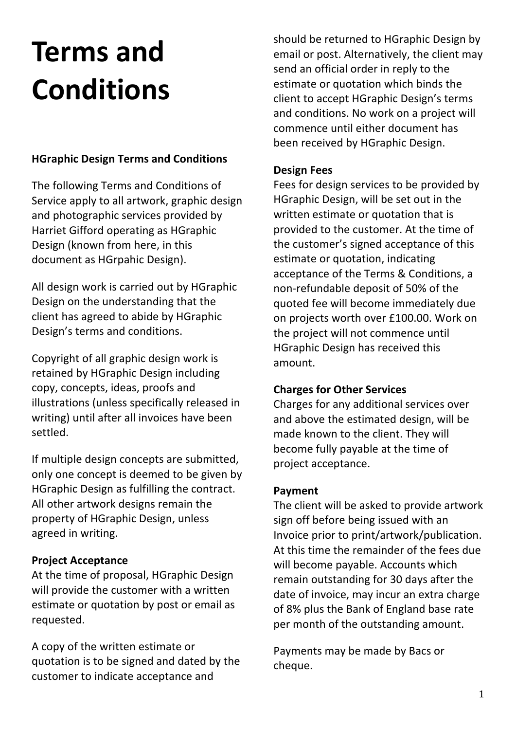# **Terms and Conditions**

## **HGraphic Design Terms and Conditions**

The following Terms and Conditions of Service apply to all artwork, graphic design and photographic services provided by Harriet Gifford operating as HGraphic Design (known from here, in this document as HGrpahic Design).

All design work is carried out by HGraphic Design on the understanding that the client has agreed to abide by HGraphic Design's terms and conditions.

Copyright of all graphic design work is retained by HGraphic Design including copy, concepts, ideas, proofs and illustrations (unless specifically released in writing) until after all invoices have been settled.

If multiple design concepts are submitted, only one concept is deemed to be given by HGraphic Design as fulfilling the contract. All other artwork designs remain the property of HGraphic Design, unless agreed in writing.

## **Project Acceptance**

At the time of proposal, HGraphic Design will provide the customer with a written estimate or quotation by post or email as requested.

A copy of the written estimate or quotation is to be signed and dated by the customer to indicate acceptance and

should be returned to HGraphic Design by email or post. Alternatively, the client may send an official order in reply to the estimate or quotation which binds the client to accept HGraphic Design's terms and conditions. No work on a project will commence until either document has been received by HGraphic Design.

#### **Design Fees**

Fees for design services to be provided by HGraphic Design, will be set out in the written estimate or quotation that is provided to the customer. At the time of the customer's signed acceptance of this estimate or quotation, indicating acceptance of the Terms & Conditions, a non-refundable deposit of 50% of the quoted fee will become immediately due on projects worth over £100.00. Work on the project will not commence until HGraphic Design has received this amount.

## **Charges for Other Services**

Charges for any additional services over and above the estimated design, will be made known to the client. They will become fully payable at the time of project acceptance.

#### **Payment**

The client will be asked to provide artwork sign off before being issued with an Invoice prior to print/artwork/publication. At this time the remainder of the fees due will become payable. Accounts which remain outstanding for 30 days after the date of invoice, may incur an extra charge of 8% plus the Bank of England base rate per month of the outstanding amount.

Payments may be made by Bacs or cheque.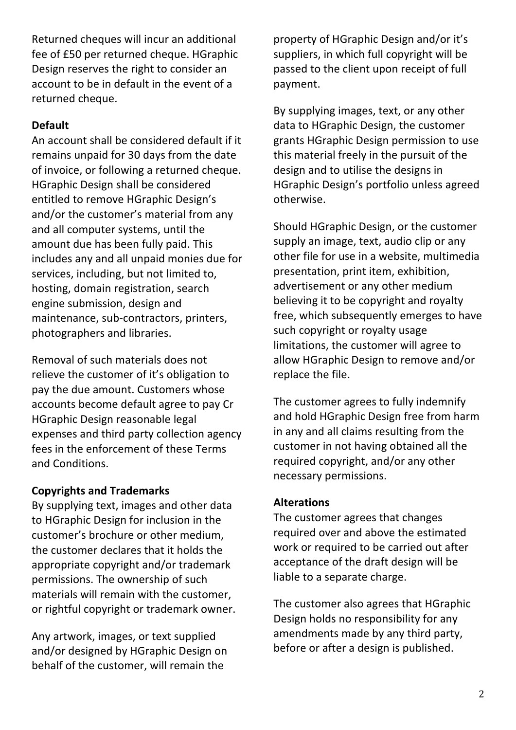Returned cheques will incur an additional fee of £50 per returned cheque. HGraphic Design reserves the right to consider an account to be in default in the event of a returned cheque.

## **Default**

An account shall be considered default if it remains unpaid for 30 days from the date of invoice, or following a returned cheque. HGraphic Design shall be considered entitled to remove HGraphic Design's and/or the customer's material from any and all computer systems, until the amount due has been fully paid. This includes any and all unpaid monies due for services, including, but not limited to, hosting, domain registration, search engine submission, design and maintenance, sub-contractors, printers, photographers and libraries.

Removal of such materials does not relieve the customer of it's obligation to pay the due amount. Customers whose accounts become default agree to pay Cr HGraphic Design reasonable legal expenses and third party collection agency fees in the enforcement of these Terms and Conditions.

## **Copyrights and Trademarks**

By supplying text, images and other data to HGraphic Design for inclusion in the customer's brochure or other medium, the customer declares that it holds the appropriate copyright and/or trademark permissions. The ownership of such materials will remain with the customer, or rightful copyright or trademark owner.

Any artwork, images, or text supplied and/or designed by HGraphic Design on behalf of the customer, will remain the

property of HGraphic Design and/or it's suppliers, in which full copyright will be passed to the client upon receipt of full payment.

By supplying images, text, or any other data to HGraphic Design, the customer grants HGraphic Design permission to use this material freely in the pursuit of the design and to utilise the designs in HGraphic Design's portfolio unless agreed otherwise.

Should HGraphic Design, or the customer supply an image, text, audio clip or any other file for use in a website, multimedia presentation, print item, exhibition, advertisement or any other medium believing it to be copyright and royalty free, which subsequently emerges to have such copyright or royalty usage limitations, the customer will agree to allow HGraphic Design to remove and/or replace the file.

The customer agrees to fully indemnify and hold HGraphic Design free from harm in any and all claims resulting from the customer in not having obtained all the required copyright, and/or any other necessary permissions.

## **Alterations**

The customer agrees that changes required over and above the estimated work or required to be carried out after acceptance of the draft design will be liable to a separate charge.

The customer also agrees that HGraphic Design holds no responsibility for any amendments made by any third party, before or after a design is published.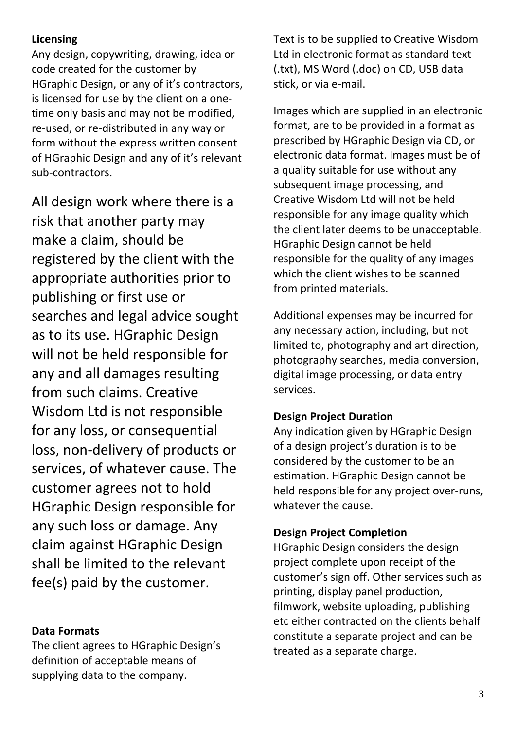## **Licensing**

Any design, copywriting, drawing, idea or code created for the customer by HGraphic Design, or any of it's contractors, is licensed for use by the client on a onetime only basis and may not be modified, re-used, or re-distributed in any way or form without the express written consent of HGraphic Design and any of it's relevant sub-contractors.

All design work where there is a risk that another party may make a claim, should be registered by the client with the appropriate authorities prior to publishing or first use or searches and legal advice sought as to its use. HGraphic Design will not be held responsible for any and all damages resulting from such claims. Creative Wisdom Ltd is not responsible for any loss, or consequential loss, non-delivery of products or services, of whatever cause. The customer agrees not to hold HGraphic Design responsible for any such loss or damage. Any claim against HGraphic Design shall be limited to the relevant fee(s) paid by the customer.

## **Data Formats**

The client agrees to HGraphic Design's definition of acceptable means of supplying data to the company.

Text is to be supplied to Creative Wisdom Ltd in electronic format as standard text (.txt), MS Word (.doc) on CD, USB data stick, or via e-mail.

Images which are supplied in an electronic format, are to be provided in a format as prescribed by HGraphic Design via CD, or electronic data format. Images must be of a quality suitable for use without any subsequent image processing, and Creative Wisdom Ltd will not be held responsible for any image quality which the client later deems to be unacceptable. HGraphic Design cannot be held responsible for the quality of any images which the client wishes to be scanned from printed materials.

Additional expenses may be incurred for any necessary action, including, but not limited to, photography and art direction, photography searches, media conversion, digital image processing, or data entry services.

#### **Design Project Duration**

Any indication given by HGraphic Design of a design project's duration is to be considered by the customer to be an estimation. HGraphic Design cannot be held responsible for any project over-runs, whatever the cause.

## **Design Project Completion**

HGraphic Design considers the design project complete upon receipt of the customer's sign off. Other services such as printing, display panel production, filmwork, website uploading, publishing etc either contracted on the clients behalf constitute a separate project and can be treated as a separate charge.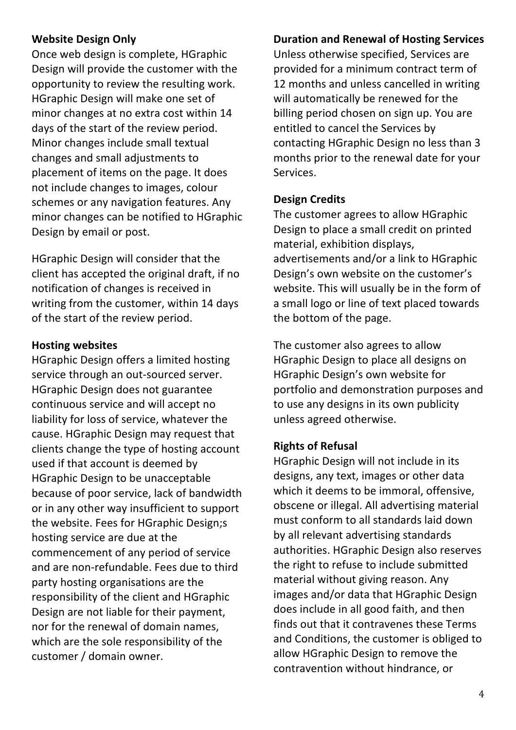#### **Website Design Only**

Once web design is complete, HGraphic Design will provide the customer with the opportunity to review the resulting work. HGraphic Design will make one set of minor changes at no extra cost within 14 days of the start of the review period. Minor changes include small textual changes and small adjustments to placement of items on the page. It does not include changes to images, colour schemes or any navigation features. Any minor changes can be notified to HGraphic Design by email or post.

HGraphic Design will consider that the client has accepted the original draft, if no notification of changes is received in writing from the customer, within 14 days of the start of the review period.

#### **Hosting websites**

HGraphic Design offers a limited hosting service through an out-sourced server. HGraphic Design does not guarantee continuous service and will accept no liability for loss of service, whatever the cause. HGraphic Design may request that clients change the type of hosting account used if that account is deemed by HGraphic Design to be unacceptable because of poor service, lack of bandwidth or in any other way insufficient to support the website. Fees for HGraphic Design;s hosting service are due at the commencement of any period of service and are non-refundable. Fees due to third party hosting organisations are the responsibility of the client and HGraphic Design are not liable for their payment, nor for the renewal of domain names, which are the sole responsibility of the customer / domain owner.

#### **Duration and Renewal of Hosting Services**

Unless otherwise specified, Services are provided for a minimum contract term of 12 months and unless cancelled in writing will automatically be renewed for the billing period chosen on sign up. You are entitled to cancel the Services by contacting HGraphic Design no less than 3 months prior to the renewal date for your Services.

#### **Design Credits**

The customer agrees to allow HGraphic Design to place a small credit on printed material, exhibition displays, advertisements and/or a link to HGraphic Design's own website on the customer's website. This will usually be in the form of a small logo or line of text placed towards the bottom of the page.

The customer also agrees to allow HGraphic Design to place all designs on HGraphic Design's own website for portfolio and demonstration purposes and to use any designs in its own publicity unless agreed otherwise.

## **Rights of Refusal**

HGraphic Design will not include in its designs, any text, images or other data which it deems to be immoral, offensive, obscene or illegal. All advertising material must conform to all standards laid down by all relevant advertising standards authorities. HGraphic Design also reserves the right to refuse to include submitted material without giving reason. Any images and/or data that HGraphic Design does include in all good faith, and then finds out that it contravenes these Terms and Conditions, the customer is obliged to allow HGraphic Design to remove the contravention without hindrance, or